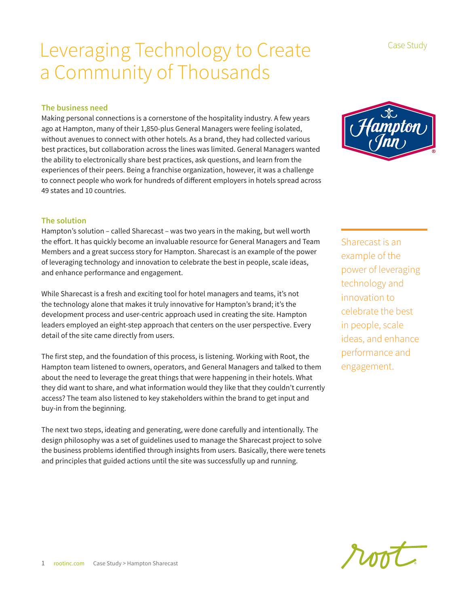### Leveraging Technology to Create a Community of Thousands

### **The business need**

Making personal connections is a cornerstone of the hospitality industry. A few years ago at Hampton, many of their 1,850-plus General Managers were feeling isolated, without avenues to connect with other hotels. As a brand, they had collected various best practices, but collaboration across the lines was limited. General Managers wanted the ability to electronically share best practices, ask questions, and learn from the experiences of their peers. Being a franchise organization, however, it was a challenge to connect people who work for hundreds of different employers in hotels spread across 49 states and 10 countries.

### **The solution**

Hampton's solution – called Sharecast – was two years in the making, but well worth the effort. It has quickly become an invaluable resource for General Managers and Team Members and a great success story for Hampton. Sharecast is an example of the power of leveraging technology and innovation to celebrate the best in people, scale ideas, and enhance performance and engagement.

While Sharecast is a fresh and exciting tool for hotel managers and teams, it's not the technology alone that makes it truly innovative for Hampton's brand; it's the development process and user-centric approach used in creating the site. Hampton leaders employed an eight-step approach that centers on the user perspective. Every detail of the site came directly from users.

The first step, and the foundation of this process, is listening. Working with Root, the Hampton team listened to owners, operators, and General Managers and talked to them about the need to leverage the great things that were happening in their hotels. What they did want to share, and what information would they like that they couldn't currently access? The team also listened to key stakeholders within the brand to get input and buy-in from the beginning.

The next two steps, ideating and generating, were done carefully and intentionally. The design philosophy was a set of guidelines used to manage the Sharecast project to solve the business problems identified through insights from users. Basically, there were tenets and principles that guided actions until the site was successfully up and running.

Sharecast is an example of the power of leveraging technology and innovation to celebrate the best in people, scale ideas, and enhance performance and engagement.





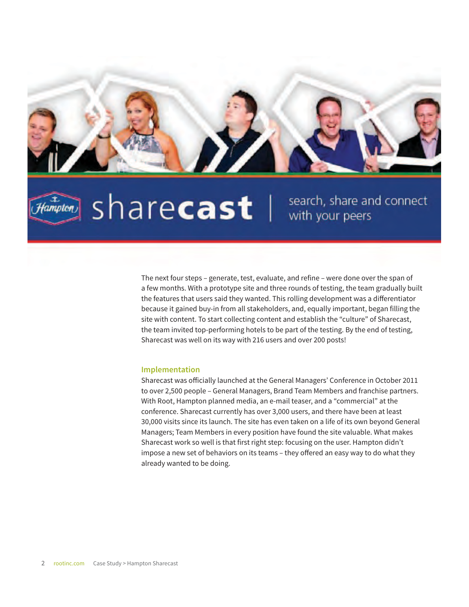

## $Hampton$

# sharecast |

search, share and connect with your peers

The next four steps – generate, test, evaluate, and refine – were done over the span of a few months. With a prototype site and three rounds of testing, the team gradually built the features that users said they wanted. This rolling development was a differentiator because it gained buy-in from all stakeholders, and, equally important, began filling the site with content. To start collecting content and establish the "culture" of Sharecast, the team invited top-performing hotels to be part of the testing. By the end of testing, Sharecast was well on its way with 216 users and over 200 posts!

#### **Implementation**

Sharecast was officially launched at the General Managers' Conference in October 2011 to over 2,500 people – General Managers, Brand Team Members and franchise partners. With Root, Hampton planned media, an e-mail teaser, and a "commercial" at the conference. Sharecast currently has over 3,000 users, and there have been at least 30,000 visits since its launch. The site has even taken on a life of its own beyond General Managers; Team Members in every position have found the site valuable. What makes Sharecast work so well is that first right step: focusing on the user. Hampton didn't impose a new set of behaviors on its teams – they offered an easy way to do what they already wanted to be doing.